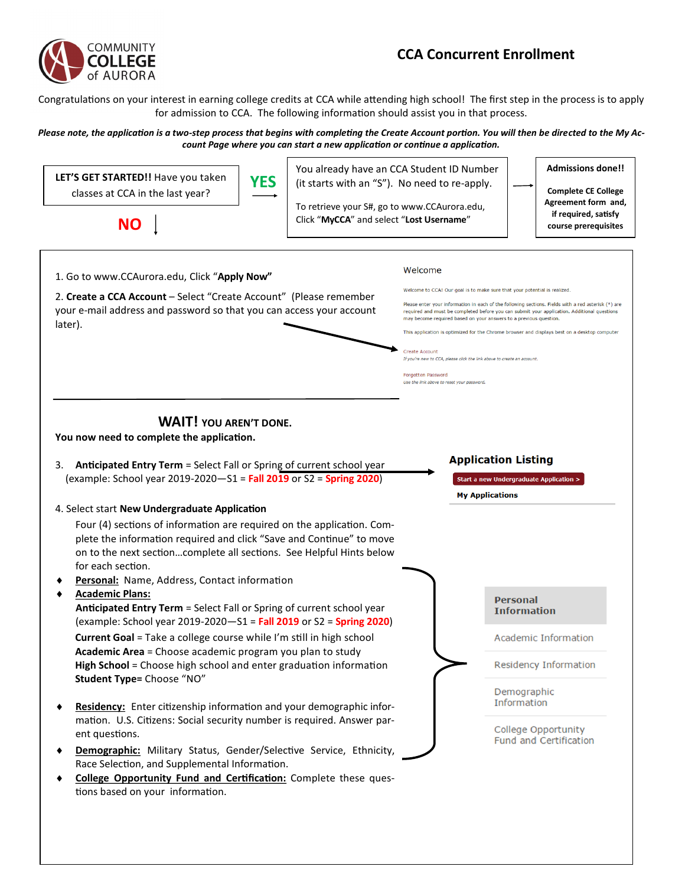

## **CCA Concurrent Enrollment**

Congratulations on your interest in earning college credits at CCA while attending high school! The first step in the process is to apply for admission to CCA. The following information should assist you in that process.

## *Please note, the application is a two-step process that begins with completing the Create Account portion. You will then be directed to the My Account Page where you can start a new application or continue a application.*